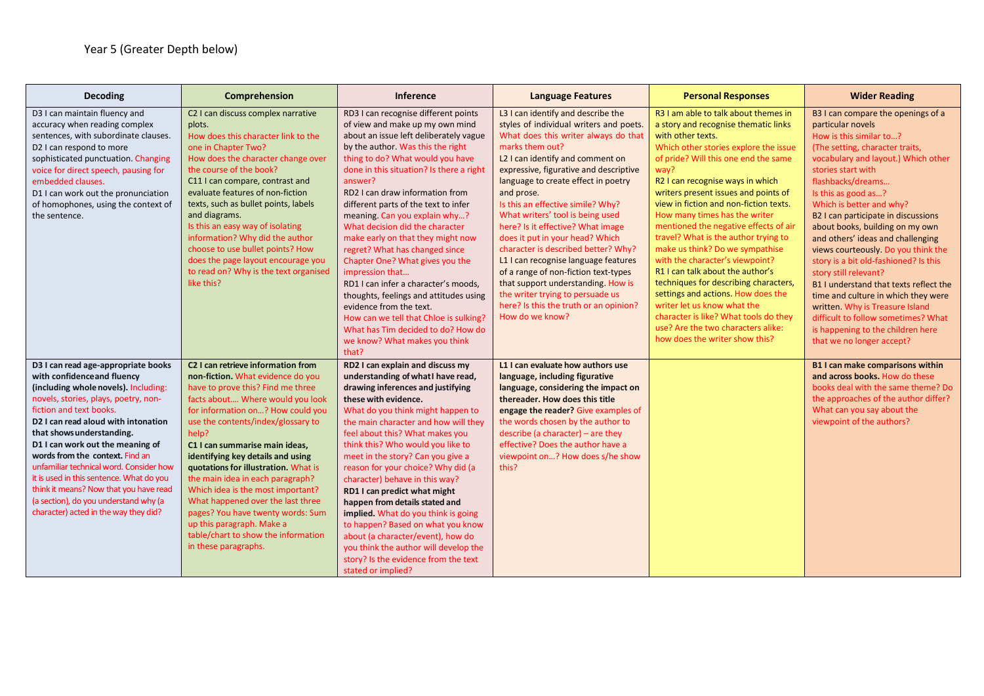| <b>Decoding</b>                                                                                                                                                                                                                                                                                                                                                                                                                                                                                                                                         | Comprehension                                                                                                                                                                                                                                                                                                                                                                                                                                                                                                                                                                                                  | Inference                                                                                                                                                                                                                                                                                                                                                                                                                                                                                                                                                                                                                                                                                                                                                            | <b>Language Features</b>                                                                                                                                                                                                                                                                                                                                                                                                                                                                                                                                                                                                                                                                   | <b>Personal Responses</b>                                                                                                                                                                                                                                                                                                                                                                                                                                                                                                                                                                                                                                                                                                                                                   | <b>Wider Reading</b>                                                                                                                                                                                                                                                                                                                                                                                                                                                                                                                                                                                                                                                                                            |
|---------------------------------------------------------------------------------------------------------------------------------------------------------------------------------------------------------------------------------------------------------------------------------------------------------------------------------------------------------------------------------------------------------------------------------------------------------------------------------------------------------------------------------------------------------|----------------------------------------------------------------------------------------------------------------------------------------------------------------------------------------------------------------------------------------------------------------------------------------------------------------------------------------------------------------------------------------------------------------------------------------------------------------------------------------------------------------------------------------------------------------------------------------------------------------|----------------------------------------------------------------------------------------------------------------------------------------------------------------------------------------------------------------------------------------------------------------------------------------------------------------------------------------------------------------------------------------------------------------------------------------------------------------------------------------------------------------------------------------------------------------------------------------------------------------------------------------------------------------------------------------------------------------------------------------------------------------------|--------------------------------------------------------------------------------------------------------------------------------------------------------------------------------------------------------------------------------------------------------------------------------------------------------------------------------------------------------------------------------------------------------------------------------------------------------------------------------------------------------------------------------------------------------------------------------------------------------------------------------------------------------------------------------------------|-----------------------------------------------------------------------------------------------------------------------------------------------------------------------------------------------------------------------------------------------------------------------------------------------------------------------------------------------------------------------------------------------------------------------------------------------------------------------------------------------------------------------------------------------------------------------------------------------------------------------------------------------------------------------------------------------------------------------------------------------------------------------------|-----------------------------------------------------------------------------------------------------------------------------------------------------------------------------------------------------------------------------------------------------------------------------------------------------------------------------------------------------------------------------------------------------------------------------------------------------------------------------------------------------------------------------------------------------------------------------------------------------------------------------------------------------------------------------------------------------------------|
| D3 I can maintain fluency and<br>accuracy when reading complex<br>sentences, with subordinate clauses.<br>D2 I can respond to more<br>sophisticated punctuation. Changing<br>voice for direct speech, pausing for<br>embedded clauses.<br>D1 I can work out the pronunciation<br>of homophones, using the context of<br>the sentence.                                                                                                                                                                                                                   | C2 I can discuss complex narrative<br>plots.<br>How does this character link to the<br>one in Chapter Two?<br>How does the character change over<br>the course of the book?<br>C11 I can compare, contrast and<br>evaluate features of non-fiction<br>texts, such as bullet points, labels<br>and diagrams.<br>Is this an easy way of isolating<br>information? Why did the author<br>choose to use bullet points? How<br>does the page layout encourage you<br>to read on? Why is the text organised<br>like this?                                                                                            | RD3 I can recognise different points<br>of view and make up my own mind<br>about an issue left deliberately vague<br>by the author. Was this the right<br>thing to do? What would you have<br>done in this situation? Is there a right<br>answer?<br>RD2 I can draw information from<br>different parts of the text to infer<br>meaning. Can you explain why?<br>What decision did the character<br>make early on that they might now<br>regret? What has changed since<br>Chapter One? What gives you the<br>impression that<br>RD1 I can infer a character's moods.<br>thoughts, feelings and attitudes using<br>evidence from the text.<br>How can we tell that Chloe is sulking?<br>What has Tim decided to do? How do<br>we know? What makes you think<br>that? | L3 I can identify and describe the<br>styles of individual writers and poets.<br>What does this writer always do that<br>marks them out?<br>L2 I can identify and comment on<br>expressive, figurative and descriptive<br>language to create effect in poetry<br>and prose.<br>Is this an effective simile? Why?<br>What writers' tool is being used<br>here? Is it effective? What image<br>does it put in your head? Which<br>character is described better? Why?<br>L1 I can recognise language features<br>of a range of non-fiction text-types<br>that support understanding. How is<br>the writer trying to persuade us<br>here? Is this the truth or an opinion?<br>How do we know? | R3 I am able to talk about themes in<br>a story and recognise thematic links<br>with other texts.<br>Which other stories explore the issue<br>of pride? Will this one end the same<br>way?<br>R2 I can recognise ways in which<br>writers present issues and points of<br>view in fiction and non-fiction texts.<br>How many times has the writer<br>mentioned the negative effects of air<br>travel? What is the author trying to<br>make us think? Do we sympathise<br>with the character's viewpoint?<br>R1 I can talk about the author's<br>techniques for describing characters,<br>settings and actions. How does the<br>writer let us know what the<br>character is like? What tools do they<br>use? Are the two characters alike:<br>how does the writer show this? | B3 I can compare the openings of a<br>particular novels<br>How is this similar to?<br>(The setting, character traits,<br>vocabulary and layout.) Which other<br>stories start with<br>flashbacks/dreams<br>Is this as good as?<br>Which is better and why?<br>B2 I can participate in discussions<br>about books, building on my own<br>and others' ideas and challenging<br>views courteously. Do you think the<br>story is a bit old-fashioned? Is this<br>story still relevant?<br>B1 I understand that texts reflect the<br>time and culture in which they were<br>written. Why is Treasure Island<br>difficult to follow sometimes? What<br>is happening to the children here<br>that we no longer accept? |
| D3 I can read age-appropriate books<br>with confidence and fluency<br>(including whole novels). Including:<br>novels, stories, plays, poetry, non-<br>fiction and text books.<br>D <sub>2</sub> I can read aloud with intonation<br>that shows understanding.<br>D1 I can work out the meaning of<br>words from the context. Find an<br>unfamiliar technical word. Consider how<br>it is used in this sentence. What do you<br>think it means? Now that you have read<br>(a section), do you understand why (a<br>character) acted in the way they did? | C <sub>2</sub> I can retrieve information from<br>non-fiction. What evidence do you<br>have to prove this? Find me three<br>facts about Where would you look<br>for information on? How could you<br>use the contents/index/glossary to<br>help?<br>C1 I can summarise main ideas,<br>identifying key details and using<br>quotations for illustration. What is<br>the main idea in each paragraph?<br>Which idea is the most important?<br>What happened over the last three<br>pages? You have twenty words: Sum<br>up this paragraph. Make a<br>table/chart to show the information<br>in these paragraphs. | RD2 I can explain and discuss my<br>understanding of what I have read,<br>drawing inferences and justifying<br>these with evidence.<br>What do you think might happen to<br>the main character and how will they<br>feel about this? What makes you<br>think this? Who would you like to<br>meet in the story? Can you give a<br>reason for your choice? Why did (a<br>character) behave in this way?<br>RD1 I can predict what might<br>happen from details stated and<br>implied. What do you think is going<br>to happen? Based on what you know<br>about (a character/event), how do<br>you think the author will develop the<br>story? Is the evidence from the text<br>stated or implied?                                                                      | L1 I can evaluate how authors use<br>language, including figurative<br>language, considering the impact on<br>thereader. How does this title<br>engage the reader? Give examples of<br>the words chosen by the author to<br>describe (a character) – are they<br>effective? Does the author have a<br>viewpoint on? How does s/he show<br>this?                                                                                                                                                                                                                                                                                                                                            |                                                                                                                                                                                                                                                                                                                                                                                                                                                                                                                                                                                                                                                                                                                                                                             | B1 I can make comparisons within<br>and across books. How do these<br>books deal with the same theme? Do<br>the approaches of the author differ?<br>What can you say about the<br>viewpoint of the authors?                                                                                                                                                                                                                                                                                                                                                                                                                                                                                                     |